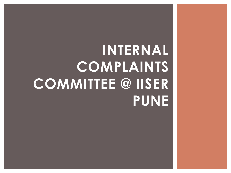# **INTERNAL COMPLAINTS COMMITTEE @ IISER PUNE**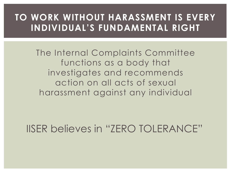### **TO WORK WITHOUT HARASSMENT IS EVERY INDIVIDUAL'S FUNDAMENTAL RIGHT**

The Internal Complaints Committee functions as a body that investigates and recommends action on all acts of sexual harassment against any individual

IISER believes in "ZERO TOLERANCE"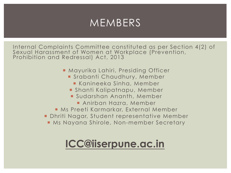### MEMBERS

Internal Complaints Committee constituted as per Section 4(2) of Sexual Harassment of Women at Workplace (Prevention, Prohibition and Redressal) Act, 2013

- Mayurika Lahiri, Presiding Officer
	- **Example 1 Strabanti Chaudhury, Member** 
		- **Example Exercise Kanineers**
	- ¡ Shanti Kalipatnapu, Member
	- **E** Sudarshan Ananth, Member
		- **Anirban Hazra, Member**
- **Ms Preeti Karmarkar, External Member**
- ¡ Dhriti Nagar, Student representative Member
	- Ms Nayana Shirole, Non-member Secretary

## **ICC@iiserpune.ac.in**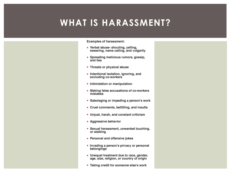### **WHAT IS HARASSMENT?**

**Examples of harassment:** 

- Verbal abuse-shouting, yelling, swearing, name calling, and vulgarity
- Spreading malicious rumors, gossip, and lies
- Threats or physical abuse
- Intentional isolation, ignoring, and excluding co-workers
- Intimidation or manipulation
- Making false accusations of co-workers mistakes
- Sabotaging or impeding a person's work
- Cruel comments, belittling, and insults
- Unjust, harsh, and constant criticism
- Aggressive behavior
- Sexual harassment, unwanted touching, or stalking
- Personal and offensive jokes
- Invading a person's privacy or personal belongings
- Unequal treatment due to race, gender,<br>age, size, religion, or country of origin
- Taking credit for someone else's work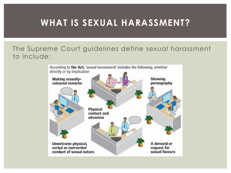### **WHAT IS SEXUAL HARASSMENT?**

#### The Supreme Court guidelines define sexual harassment to include:

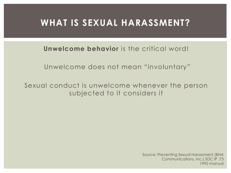### **WHAT IS SEXUAL HARASSMENT?**

**Unwelcome behavior** is the critical word!

Unwelcome does not mean "involuntary"

Sexual conduct is unwelcome whenever the person subjected to it considers it

> Source: Preventing Sexual Harassment (BNA Communications, Inc.) SDC IP .73 1992 manual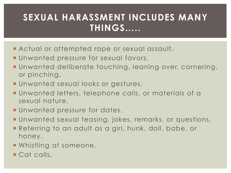- **E** Actual or attempted rape or sexual assault.
- **Unwanted pressure for sexual favors.**
- ¡ Unwanted deliberate touching, leaning over, cornering, or pinching.
- **Unwanted sexual looks or gestures.**
- ¡ Unwanted letters, telephone calls, or materials of a sexual nature.
- **Unwanted pressure for dates.**
- ¡ Unwanted sexual teasing, jokes, remarks, or questions.
- ¡ Referring to an adult as a girl, hunk, doll, babe, or honey.
- **Whistling at someone.**
- Cat calls.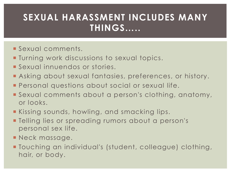- ¡ Sexual comments.
- **Turning work discussions to sexual topics.**
- **Sexual innuendos or stories.**
- **E** Asking about sexual fantasies, preferences, or history.
- **Personal questions about social or sexual life.**
- ¡ Sexual comments about a person's clothing, anatomy, or looks.
- **Example 3 Kissing sounds, howling, and smacking lips.**
- **Example 1** Telling lies or spreading rumors about a person's personal sex life.
- **Neck massage.**
- ¡ Touching an individual's (student, colleague) clothing, hair, or body.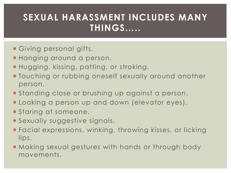- **Giving personal gifts.**
- **Hanging around a person.**
- ¡ Hugging, kissing, patting, or stroking.
- **Touching or rubbing oneself sexually around another** person.
- **Standing close or brushing up against a person.**
- **E** Looking a person up and down (elevator eyes).
- **Staring at someone.**
- **Sexually suggestive signals.**
- **Facial expressions, winking, throwing kisses, or licking** lips.
- **Making sexual gestures with hands or through body** movements.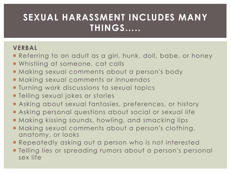#### **VERBAL**

- **E** Referring to an adult as a girl, hunk, doll, babe, or honey
- **Whistling at someone, cat calls**
- **Making sexual comments about a person's body**
- **E** Making sexual comments or innuendos
- **Turning work discussions to sexual topics**
- **Telling sexual jokes or stories**
- **E** Asking about sexual fantasies, preferences, or history
- **E** Asking personal questions about social or sexual life
- **Making kissing sounds, howling, and smacking lips**
- **Making sexual comments about a person's clothing,** anatomy, or looks
- **Repeatedly asking out a person who is not interested**
- **Telling lies or spreading rumors about a person's personal** sex life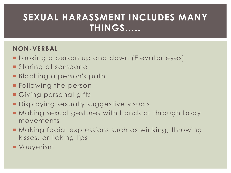#### **NON-VERBAL**

- **Example 2** Looking a person up and down (Elevator eyes)
- **Staring at someone**
- **E** Blocking a person's path
- **Following the person**
- **Giving personal gifts**
- **Displaying sexually suggestive visuals**
- **Making sexual gestures with hands or through body** movements
- ¡ Making facial expressions such as winking, throwing kisses, or licking lips
- **Vouyerism**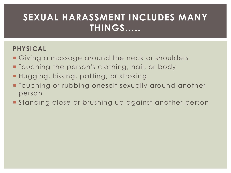### **PHYSICAL**

- **Giving a massage around the neck or shoulders**
- **Touching the person's clothing, hair, or body**
- **Hugging, kissing, patting, or stroking**
- **Touching or rubbing oneself sexually around another** person
- **Standing close or brushing up against another person**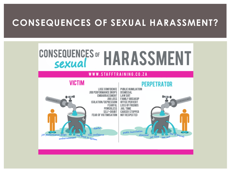### **CONSEQUENCES OF SEXUAL HARASSMENT?**



#### WWW.STAFFTRAINING.CO.ZA





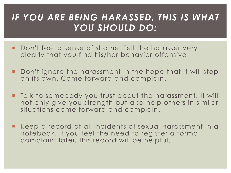### *IF YOU ARE BEING HARASSED, THIS IS WHAT YOU SHOULD DO:*

- Don't feel a sense of shame. Tell the harasser very clearly that you find his/her behavior offensive.
- ¡ Don't ignore the harassment in the hope that it will stop on its own. Come forward and complain.
- ¡ Talk to somebody you trust about the harassment. It will not only give you strength but also help others in similar situations come forward and complain.
- Keep a record of all incidents of sexual harassment in a notebook. If you feel the need to register a formal complaint later, this record will be helpful.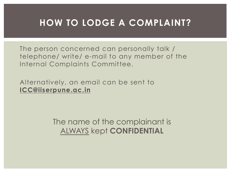### **HOW TO LODGE A COMPLAINT?**

The person concerned can personally talk / telephone/ write/ e-mail to any member of the Internal Complaints Committee.

Alternatively, an email can be sent to **ICC@iiserpune.ac.in**

> The name of the complainant is ALWAYS kept **CONFIDENTIAL**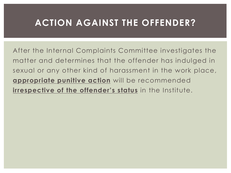### **ACTION AGAINST THE OFFENDER?**

After the Internal Complaints Committee investigates the matter and determines that the offender has indulged in sexual or any other kind of harassment in the work place, **appropriate punitive action** will be recommended **irrespective of the offender's status** in the Institute.